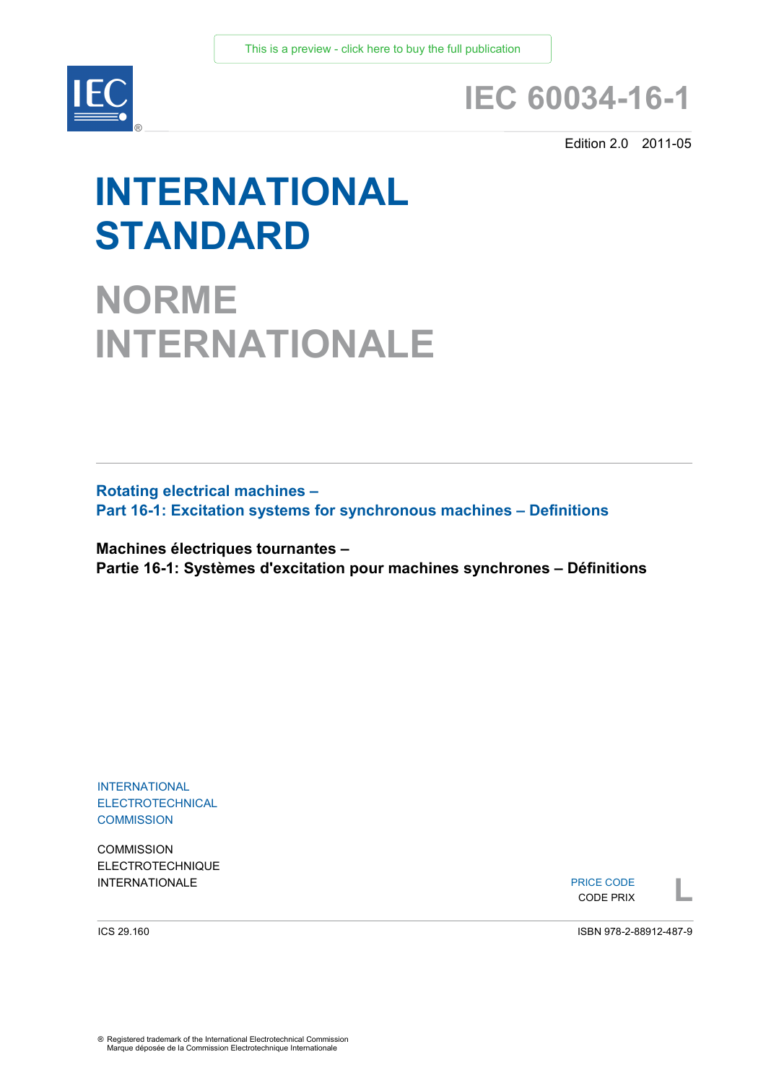

# **IEC 60034-16-1**

Edition 2.0 2011-05

# **INTERNATIONAL STANDARD**

**NORME INTERNATIONALE**

**Rotating electrical machines – Part 16-1: Excitation systems for synchronous machines – Definitions**

**Machines électriques tournantes – Partie 16-1: Systèmes d'excitation pour machines synchrones – Définitions**

INTERNATIONAL **ELECTROTECHNICAL COMMISSION** 

**COMMISSION** ELECTROTECHNIQUE

INTERNATIONALE PRICE CODE PRIX PRICE CODE CODE PRIX

ICS 29.160

ISBN 978-2-88912-487-9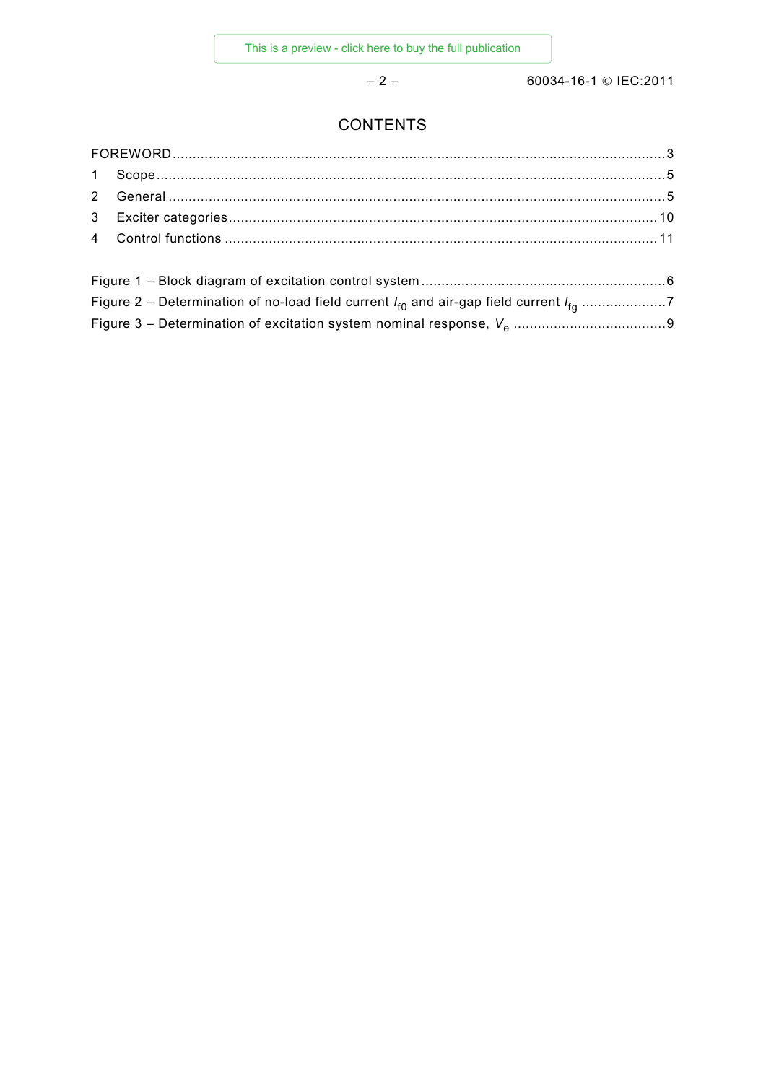$-2-$ 

# **CONTENTS**

| 2 |  |  |  |  |
|---|--|--|--|--|
|   |  |  |  |  |
|   |  |  |  |  |
|   |  |  |  |  |
|   |  |  |  |  |
|   |  |  |  |  |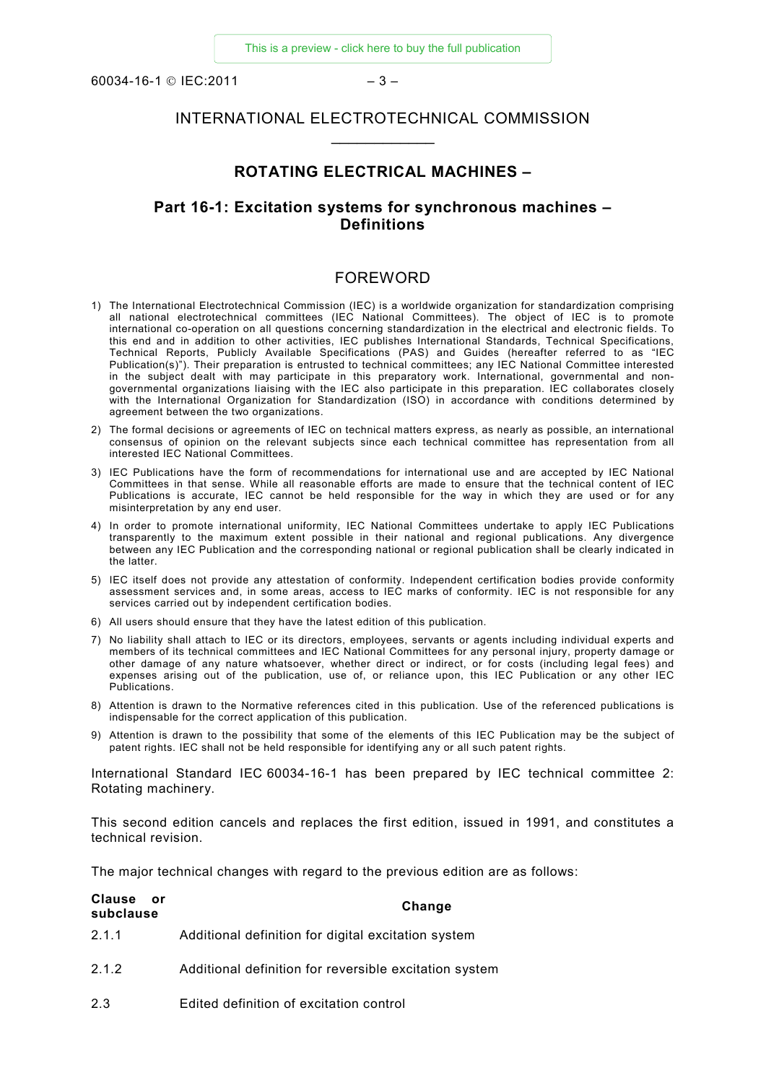$60034-16-1$  © IFC:2011 – 3 –

# INTERNATIONAL ELECTROTECHNICAL COMMISSION \_\_\_\_\_\_\_\_\_\_\_\_

#### **ROTATING ELECTRICAL MACHINES –**

# **Part 16-1: Excitation systems for synchronous machines – Definitions**

#### FOREWORD

- 1) The International Electrotechnical Commission (IEC) is a worldwide organization for standardization comprising all national electrotechnical committees (IEC National Committees). The object of IEC is to promote international co-operation on all questions concerning standardization in the electrical and electronic fields. To this end and in addition to other activities, IEC publishes International Standards, Technical Specifications, Technical Reports, Publicly Available Specifications (PAS) and Guides (hereafter referred to as "IEC Publication(s)"). Their preparation is entrusted to technical committees; any IEC National Committee interested in the subject dealt with may participate in this preparatory work. International, governmental and nongovernmental organizations liaising with the IEC also participate in this preparation. IEC collaborates closely with the International Organization for Standardization (ISO) in accordance with conditions determined by agreement between the two organizations.
- 2) The formal decisions or agreements of IEC on technical matters express, as nearly as possible, an international consensus of opinion on the relevant subjects since each technical committee has representation from all interested IEC National Committees.
- 3) IEC Publications have the form of recommendations for international use and are accepted by IEC National Committees in that sense. While all reasonable efforts are made to ensure that the technical content of IEC Publications is accurate, IEC cannot be held responsible for the way in which they are used or for any misinterpretation by any end user.
- 4) In order to promote international uniformity, IEC National Committees undertake to apply IEC Publications transparently to the maximum extent possible in their national and regional publications. Any divergence between any IEC Publication and the corresponding national or regional publication shall be clearly indicated in the latter.
- 5) IEC itself does not provide any attestation of conformity. Independent certification bodies provide conformity assessment services and, in some areas, access to IEC marks of conformity. IEC is not responsible for any services carried out by independent certification bodies.
- 6) All users should ensure that they have the latest edition of this publication.
- 7) No liability shall attach to IEC or its directors, employees, servants or agents including individual experts and members of its technical committees and IEC National Committees for any personal injury, property damage or other damage of any nature whatsoever, whether direct or indirect, or for costs (including legal fees) and expenses arising out of the publication, use of, or reliance upon, this IEC Publication or any other IEC Publications.
- 8) Attention is drawn to the Normative references cited in this publication. Use of the referenced publications is indispensable for the correct application of this publication.
- 9) Attention is drawn to the possibility that some of the elements of this IEC Publication may be the subject of patent rights. IEC shall not be held responsible for identifying any or all such patent rights.

International Standard IEC 60034-16-1 has been prepared by IEC technical committee 2: Rotating machinery.

This second edition cancels and replaces the first edition, issued in 1991, and constitutes a technical revision.

The major technical changes with regard to the previous edition are as follows:

| <b>Clause</b><br>or.<br>subclause | Change                                                 |  |
|-----------------------------------|--------------------------------------------------------|--|
| 2.1.1                             | Additional definition for digital excitation system    |  |
| 2.1.2                             | Additional definition for reversible excitation system |  |

2.3 Edited definition of excitation control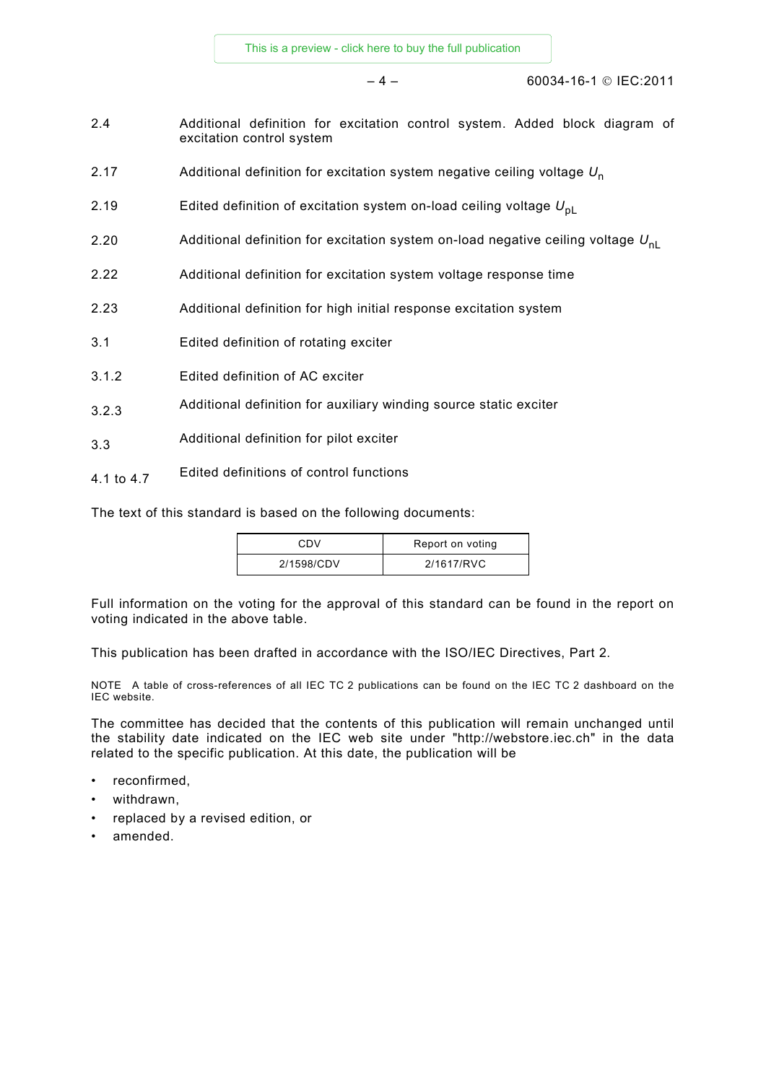$-4 - 60034 - 16 - 1 \odot 1EC:2011$ 

- 2.4 Additional definition for excitation control system. Added block diagram of excitation control system
- 2.17 Additional definition for excitation system negative ceiling voltage *U*<sup>n</sup>
- 2.19 Edited definition of excitation system on-load ceiling voltage  $U_{\text{pl}}$
- 2.20 Additional definition for excitation system on-load negative ceiling voltage U<sub>nl</sub>
- 2.22 Additional definition for excitation system voltage response time
- 2.23 Additional definition for high initial response excitation system
- 3.1 Edited definition of rotating exciter
- 3.1.2 Edited definition of AC exciter
- 3.2.3 Additional definition for auxiliary winding source static exciter
- 3.3 Additional definition for pilot exciter
- 4.1 to 4.7 Edited definitions of control functions

The text of this standard is based on the following documents:

| CDV        | Report on voting |
|------------|------------------|
| 2/1598/CDV | 2/1617/RVC       |

Full information on the voting for the approval of this standard can be found in the report on voting indicated in the above table.

This publication has been drafted in accordance with the ISO/IEC Directives, Part 2.

NOTE A table of cross-references of all IEC TC 2 publications can be found on the IEC TC 2 dashboard on the IEC website.

The committee has decided that the contents of this publication will remain unchanged until the stability date indicated on the IEC web site under "http://webstore.iec.ch" in the data related to the specific publication. At this date, the publication will be

- reconfirmed,
- withdrawn,
- replaced by a revised edition, or
- amended.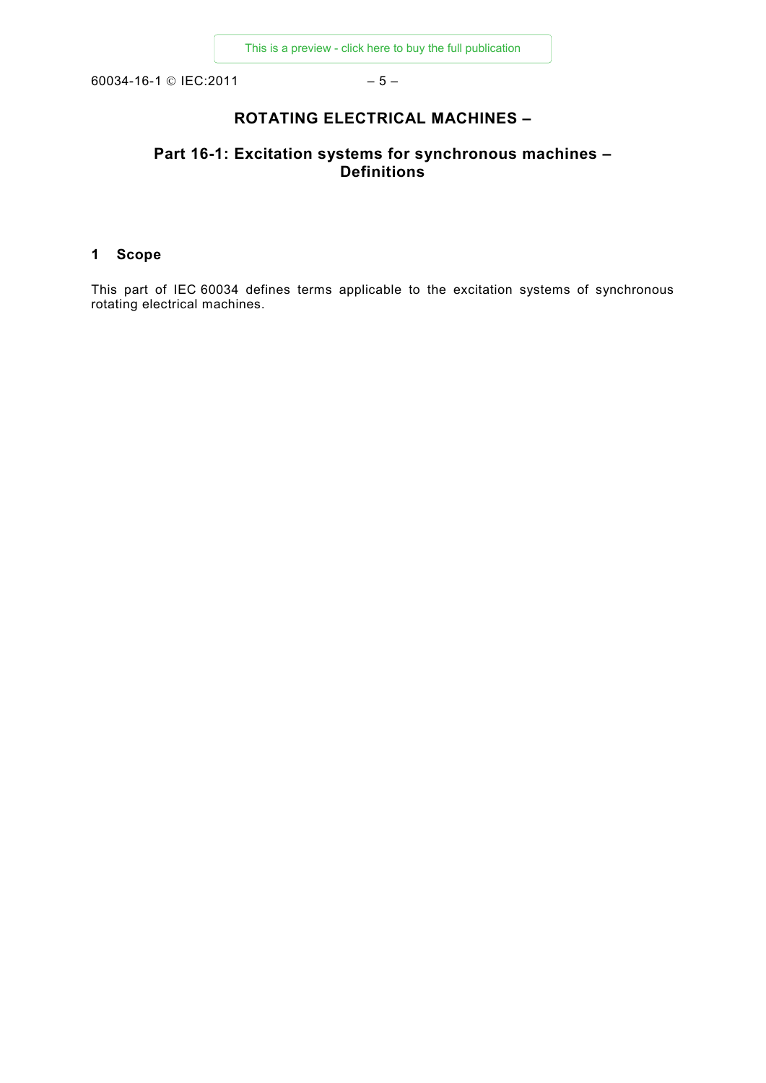60034-16-1 © IEC:2011 – 5 –

# **ROTATING ELECTRICAL MACHINES –**

# **Part 16-1: Excitation systems for synchronous machines – Definitions**

#### **1 Scope**

This part of IEC 60034 defines terms applicable to the excitation systems of synchronous rotating electrical machines.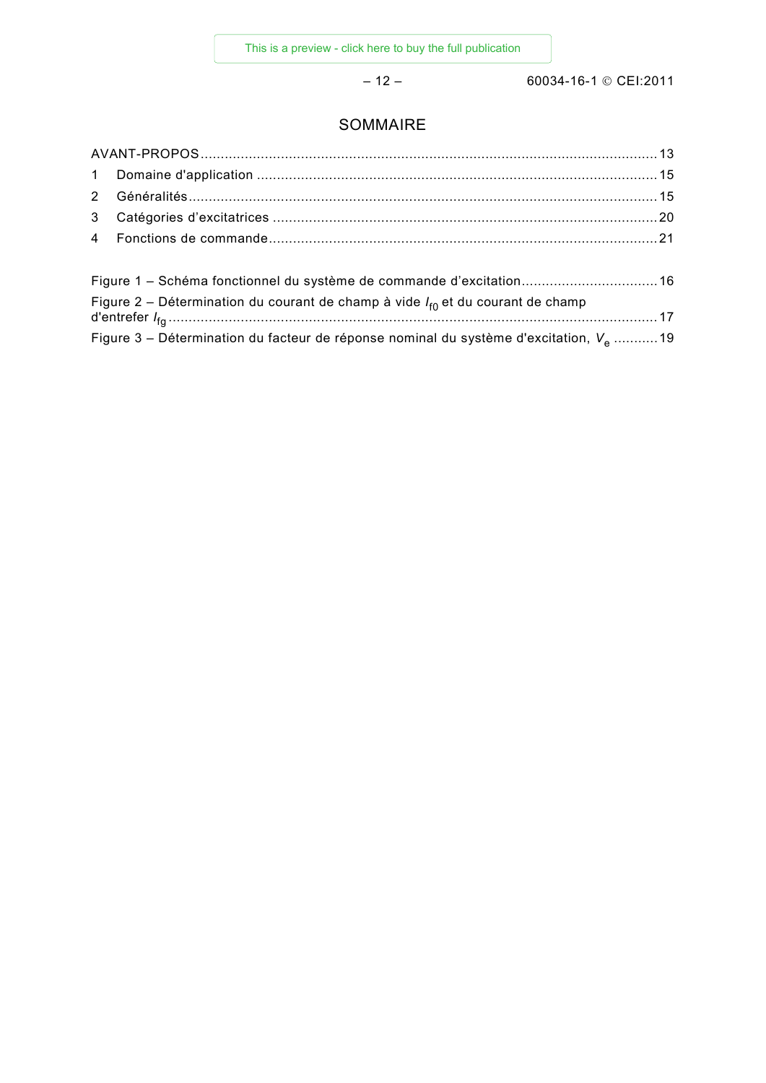– 12 – 60034-16-1 CEI:2011

# SOMMAIRE

| 2                                                                    |                                                                                                |  |  |
|----------------------------------------------------------------------|------------------------------------------------------------------------------------------------|--|--|
| 3 <sup>1</sup>                                                       |                                                                                                |  |  |
|                                                                      |                                                                                                |  |  |
|                                                                      |                                                                                                |  |  |
| Figure 1 - Schéma fonctionnel du système de commande d'excitation 16 |                                                                                                |  |  |
|                                                                      |                                                                                                |  |  |
|                                                                      | Figure 3 – Détermination du facteur de réponse nominal du système d'excitation, $V_{\rm e}$ 19 |  |  |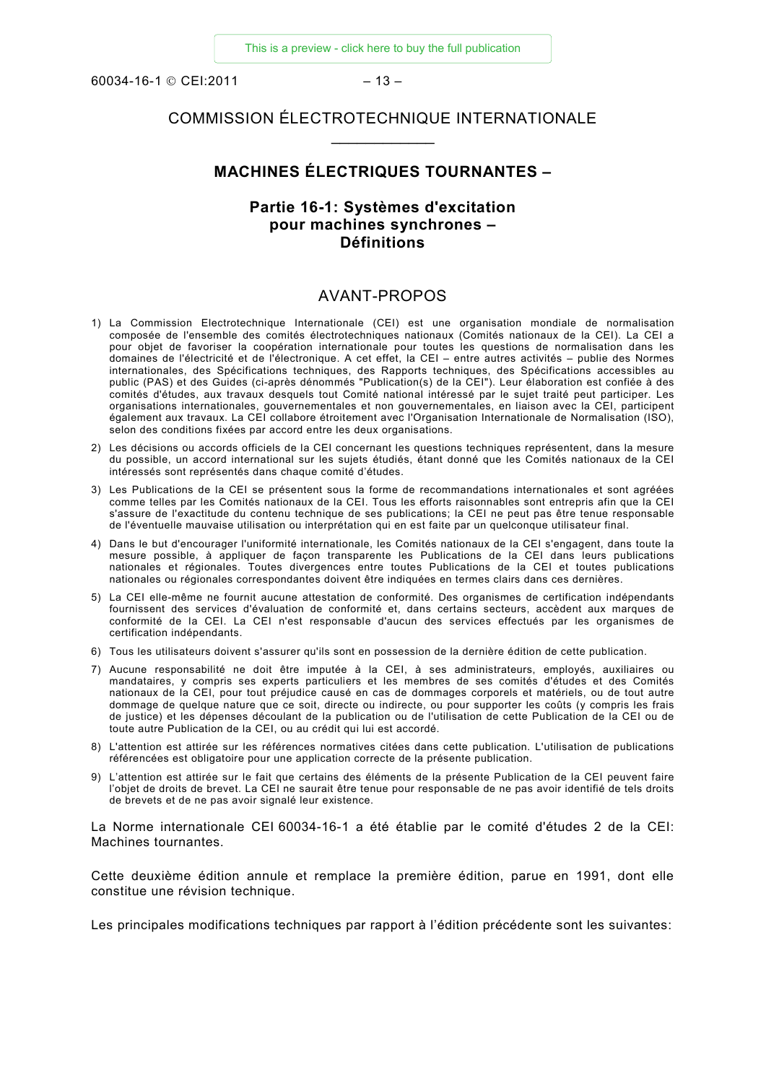$60034-16-1$  © CFI:2011 – 13 –

# COMMISSION ÉLECTROTECHNIQUE INTERNATIONALE \_\_\_\_\_\_\_\_\_\_\_\_

#### **MACHINES ÉLECTRIQUES TOURNANTES –**

#### **Partie 16-1: Systèmes d'excitation pour machines synchrones – Définitions**

#### AVANT-PROPOS

- 1) La Commission Electrotechnique Internationale (CEI) est une organisation mondiale de normalisation composée de l'ensemble des comités électrotechniques nationaux (Comités nationaux de la CEI). La CEI a pour objet de favoriser la coopération internationale pour toutes les questions de normalisation dans les domaines de l'électricité et de l'électronique. A cet effet, la CEI – entre autres activités – publie des Normes internationales, des Spécifications techniques, des Rapports techniques, des Spécifications accessibles au public (PAS) et des Guides (ci-après dénommés "Publication(s) de la CEI"). Leur élaboration est confiée à des comités d'études, aux travaux desquels tout Comité national intéressé par le sujet traité peut participer. Les organisations internationales, gouvernementales et non gouvernementales, en liaison avec la CEI, participent également aux travaux. La CEI collabore étroitement avec l'Organisation Internationale de Normalisation (ISO), selon des conditions fixées par accord entre les deux organisations.
- 2) Les décisions ou accords officiels de la CEI concernant les questions techniques représentent, dans la mesure du possible, un accord international sur les sujets étudiés, étant donné que les Comités nationaux de la CEI intéressés sont représentés dans chaque comité d'études.
- 3) Les Publications de la CEI se présentent sous la forme de recommandations internationales et sont agréées comme telles par les Comités nationaux de la CEI. Tous les efforts raisonnables sont entrepris afin que la CEI s'assure de l'exactitude du contenu technique de ses publications; la CEI ne peut pas être tenue responsable de l'éventuelle mauvaise utilisation ou interprétation qui en est faite par un quelconque utilisateur final.
- 4) Dans le but d'encourager l'uniformité internationale, les Comités nationaux de la CEI s'engagent, dans toute la mesure possible, à appliquer de façon transparente les Publications de la CEI dans leurs publications nationales et régionales. Toutes divergences entre toutes Publications de la CEI et toutes publications nationales ou régionales correspondantes doivent être indiquées en termes clairs dans ces dernières.
- 5) La CEI elle-même ne fournit aucune attestation de conformité. Des organismes de certification indépendants fournissent des services d'évaluation de conformité et, dans certains secteurs, accèdent aux marques de conformité de la CEI. La CEI n'est responsable d'aucun des services effectués par les organismes de certification indépendants.
- 6) Tous les utilisateurs doivent s'assurer qu'ils sont en possession de la dernière édition de cette publication.
- 7) Aucune responsabilité ne doit être imputée à la CEI, à ses administrateurs, employés, auxiliaires ou mandataires, y compris ses experts particuliers et les membres de ses comités d'études et des Comités nationaux de la CEI, pour tout préjudice causé en cas de dommages corporels et matériels, ou de tout autre dommage de quelque nature que ce soit, directe ou indirecte, ou pour supporter les coûts (y compris les frais de justice) et les dépenses découlant de la publication ou de l'utilisation de cette Publication de la CEI ou de toute autre Publication de la CEI, ou au crédit qui lui est accordé.
- 8) L'attention est attirée sur les références normatives citées dans cette publication. L'utilisation de publications référencées est obligatoire pour une application correcte de la présente publication.
- 9) L'attention est attirée sur le fait que certains des éléments de la présente Publication de la CEI peuvent faire l'objet de droits de brevet. La CEI ne saurait être tenue pour responsable de ne pas avoir identifié de tels droits de brevets et de ne pas avoir signalé leur existence.

La Norme internationale CEI 60034-16-1 a été établie par le comité d'études 2 de la CEI: Machines tournantes.

Cette deuxième édition annule et remplace la première édition, parue en 1991, dont elle constitue une révision technique.

Les principales modifications techniques par rapport à l'édition précédente sont les suivantes: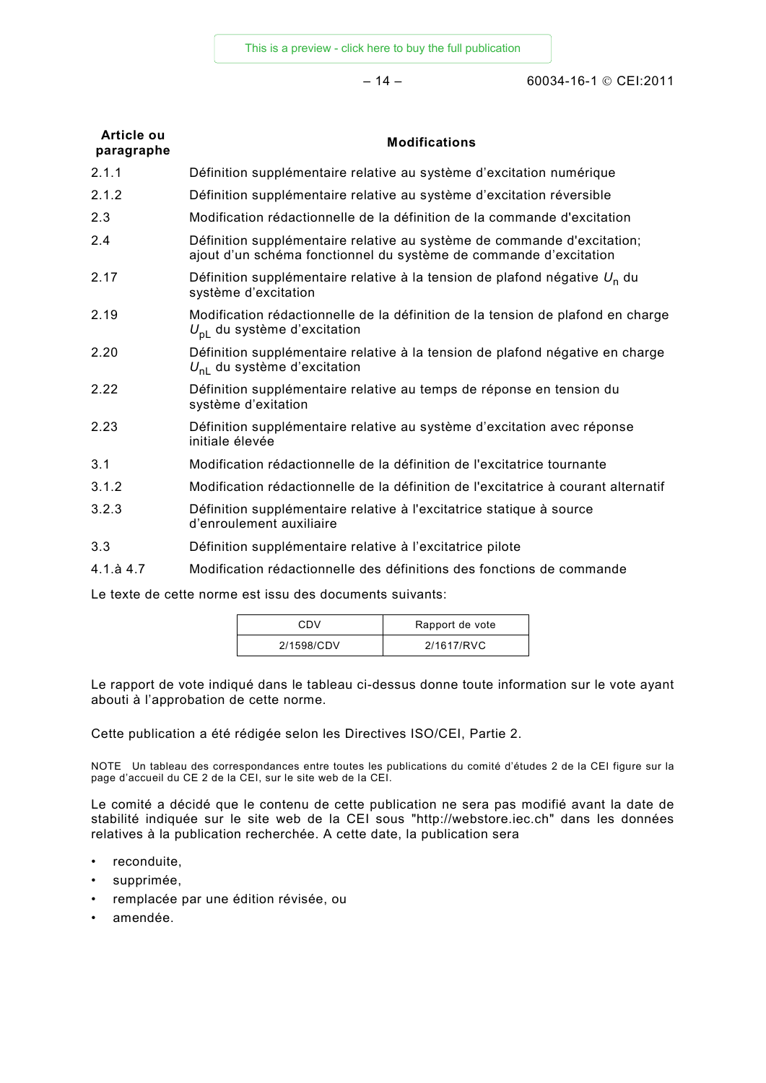$-14 - 60034-16-1 \odot \text{CE}$ 

| Article ou<br>paragraphe | <b>Modifications</b>                                                                                                                         |
|--------------------------|----------------------------------------------------------------------------------------------------------------------------------------------|
| 2.1.1                    | Définition supplémentaire relative au système d'excitation numérique                                                                         |
| 2.1.2                    | Définition supplémentaire relative au système d'excitation réversible                                                                        |
| 2.3                      | Modification rédactionnelle de la définition de la commande d'excitation                                                                     |
| 2.4                      | Définition supplémentaire relative au système de commande d'excitation;<br>ajout d'un schéma fonctionnel du système de commande d'excitation |
| 2.17                     | Définition supplémentaire relative à la tension de plafond négative $U_n$ du<br>système d'excitation                                         |
| 2.19                     | Modification rédactionnelle de la définition de la tension de plafond en charge<br>$U_{\text{pl}}$ du système d'excitation                   |
| 2.20                     | Définition supplémentaire relative à la tension de plafond négative en charge<br>$U_{\text{nl}}$ du système d'excitation                     |
| 2.22                     | Définition supplémentaire relative au temps de réponse en tension du<br>système d'exitation                                                  |
| 2.23                     | Définition supplémentaire relative au système d'excitation avec réponse<br>initiale élevée                                                   |
| 3.1                      | Modification rédactionnelle de la définition de l'excitatrice tournante                                                                      |
| 3.1.2                    | Modification rédactionnelle de la définition de l'excitatrice à courant alternatif                                                           |
| 3.2.3                    | Définition supplémentaire relative à l'excitatrice statique à source<br>d'enroulement auxiliaire                                             |
| 3.3                      | Définition supplémentaire relative à l'excitatrice pilote                                                                                    |
| $4.1.\dot{a} 4.7$        | Modification rédactionnelle des définitions des fonctions de commande                                                                        |

Le texte de cette norme est issu des documents suivants:

| CDV        | Rapport de vote |
|------------|-----------------|
| 2/1598/CDV | 2/1617/RVC      |

Le rapport de vote indiqué dans le tableau ci-dessus donne toute information sur le vote ayant abouti à l'approbation de cette norme.

Cette publication a été rédigée selon les Directives ISO/CEI, Partie 2.

NOTE Un tableau des correspondances entre toutes les publications du comité d'études 2 de la CEI figure sur la page d'accueil du CE 2 de la CEI, sur le site web de la CEI.

Le comité a décidé que le contenu de cette publication ne sera pas modifié avant la date de stabilité indiquée sur le site web de la CEI sous "http://webstore.iec.ch" dans les données relatives à la publication recherchée. A cette date, la publication sera

- reconduite,
- supprimée.
- remplacée par une édition révisée, ou
- amendée.